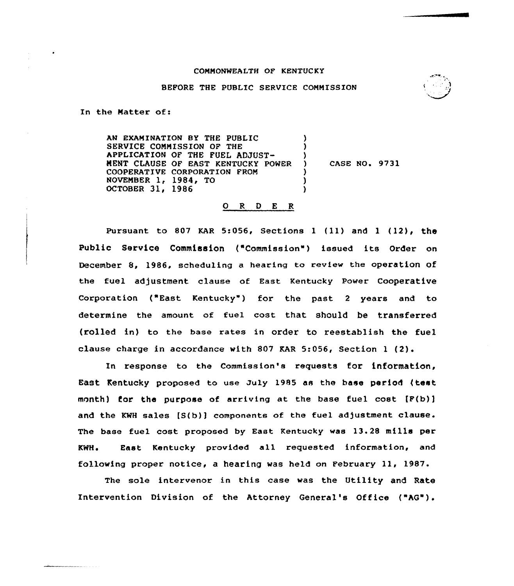### COMMONWEALTH OF KENTUCKY

<sup>I</sup>~, l

#### BEFORE THE PUBLIC SERVICE COMMISSION

In the Matter of:

AN EXAMINATION BY THE PUBLIC SERVICE COMMISSION OF THE APPLICATION OF THE FUEL ADJUST-MENT CLAUSE OF EAST KENTUCKY POWER COOPERATIVE CORPORATION FROM NOVEMBER 1, 1984, TO OCTOBER 31, 1986 ) ) ) ) CASE NO. 9731 ) ) )

### ORDER

Pursuant to 807 KAR 5:056, Sections 1 (11) and 1 (12), the Public Service Commission ("Commission") issued its Order on December 8, 1986, scheduling a hearing to review the operation of the fuel adjustment clause of East Kentucky Power Cooperative Corporation ("East Kentucky") for the past 2 years and to determine the amount of fuel cost that should be transferred (rolled in) to the base rates in order to reestablish the fuel clause charge in accordance with 807 EAR 5:056, Section <sup>1</sup> (2).

In response to the Commission's requests for information, EaSt Kentucky proposed to use July 1985 as the hase period (test month) for the purpose of arriving at the base fuel cost  $[F(b)]$ and the KWH sales  $[S(b)]$  components of the fuel adjustment clause. The base fuel cost proposed by East Kentucky was 13.28 mills per KWH. East Kentucky provided all requested information, and following proper notice, a hearing was held on February 11, 1987.

The sole intervenor in this case was the Utility and Rate Intervention Division of the Attorney General's Office ("AG").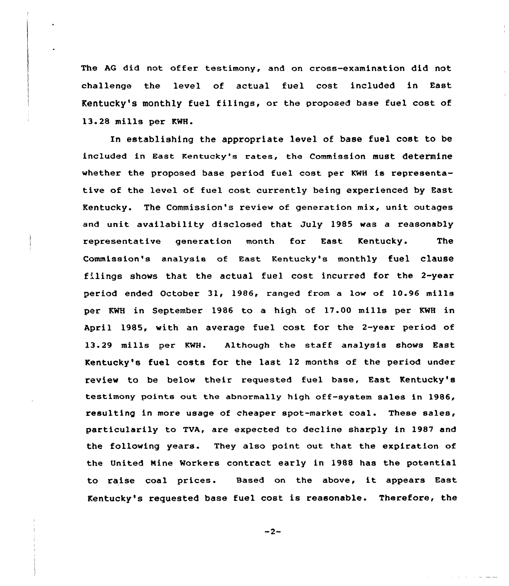The AG did not offer testimony, and on cross-examination did not challenge the level of actual fuel cost included in East Kentucky's monthly fuel filings, or the proposed base fuel cost of 13.28 mills per KMH.

In establishing the appropriate level of base fuel cost to be included in East Kentucky's rates, the Commission must determine whether the proposed base period fuel cost per KWH is representative of the level of fuel cost currently being experienced by East Kentucky. The Commission's review of generation mix, unit outages and unit availability disclosed that July 1985 was a reasonably representative generation month for East Kentucky. The Commission's analysis of East Kentucky's monthly fuel clause filings shows that the actual fuel cost incurred for the 2-year period ended October 31, 1986, ranged from a low of 10.96 mills per KWH in September 1986 to a high of 17.00 mills per KMH in April 1985, with an average fuel cost for the 2-year period of 13.29 mills per KHH. Although the staff analysis shows East Kentucky's fuel costs for the last 12 months of the period under review to be below their requested fuel base, East Kentucky's testimony points out the abnormally high off-system sales in 1986, resulting in more usage of cheaper spot-market coal. These sales, particularily to TVA, are expected to decline sharply in 1987 and the following years. They also point out that the expiration of the United Nine Workers contract early in 1988 has the potential to raise coal prices. Based on the above, it appears East Kentucky's requested base fuel cost is reasonable. Therefore, the

-2-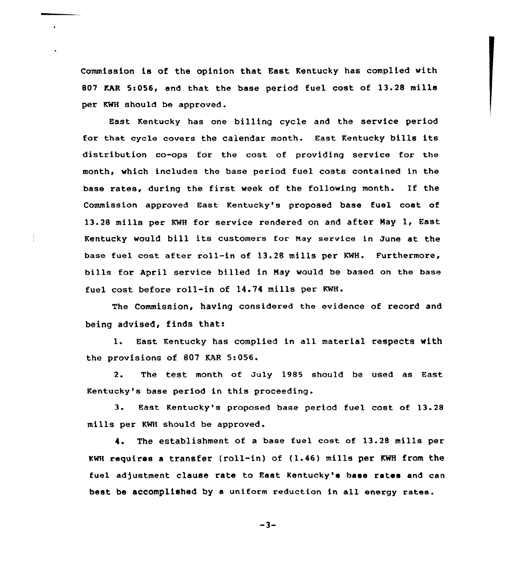Commission is of the opinion that East Kentucky has complied with 807 MAR 5:056, and that the base period fuel cost of 13.28 mills per KWH should be approved.

East Kentucky has one billing cycle and the service period for that cycle covers the calendar month. East Kentucky bills its distribution co-ops for the cost. of providing service for the month, which includes the base period fuel costs contained in the base rates, during the first week of the following month. If the Commission approved East Kentucky's proposed base fuel cost of 13.28 mills per KWH for service rendered on and after May 1, East Kentucky would bill its customers for Nay service in June at the base fuel cost after roll-in of 13.28 mills per KWH. Furthermore, bills for April service billed in May would be based on the base fuel cost before roll-in of 14.74 mills per KWH.

The Commission, having considered the evidence of record and being advised, finds that:

l. East. Kentucky has complied in all material respects with the provisions of 807 KAR 5:056

The test month of July 1985 should be used as East  $2.$ Kentucky's base period in this proceeding.

3. East Kentucky's proposed base period fuel cost of 13.28 mills per KWH should be approved.

4. The establishment of a base fuel cost of 13.28 mills per KWH requires <sup>a</sup> transfer (roll-in) of (1.46) mills per KWH from the fuel adjustment clause rate to East Kentucky's base rates and can best be accomplished by a uniform reduction in all energy rates.

 $-3-$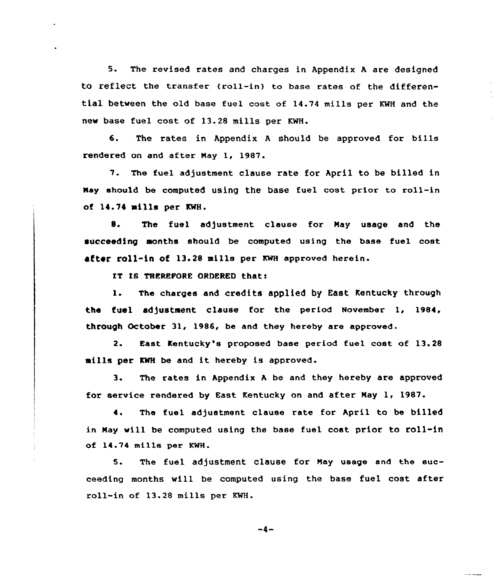5. The revised rates and charges in Appendix <sup>A</sup> are designed to reflect the transfer (roll-in) to base rates of the differential between the old base fuel cost of 14.74 mills per KWH and the new base fuel cost of 13.28 mills per KWH.

6. The rates in Appendix <sup>A</sup> should be approved for bills rendered on and after Nay 1, 1987.

7. The fuel adjustment clause rate for April to be billed in Nay should be computed using the base fuel cost prior to roll-in of 14.74 mills per KWH.

8. The fuel adjustment clause for May usage and the succeeding months should be computed using the base fuel cost after roll-in of 13.28 mills per KWH approved herein.

IT IS THEREFORE ORDERED that:

1. The charges and credits applied by East Kentucky through the fuel adjustment clause for the period November 1, 1984, through October 31, 1986, be and they hereby are approved.

2. East Kentucky's proposed base period fuel cost of 13.28 mills per KWH be and it hereby is approved.

3. The rates in Appendix <sup>A</sup> be and they hereby are approved for service rendered by East Kentucky on and after Nay 1, 1987.

4. The fuel adjustment clause rate for April to be billed in Nay will be computed using the base fuel cost prior to roll-in of 14.74 mills per KWH.

5. The fuel adjustment clause for Nay usage and the succeeding months will be computed using the base fuel cost after roll-in of 13.28 mills per KWH.

 $-4-$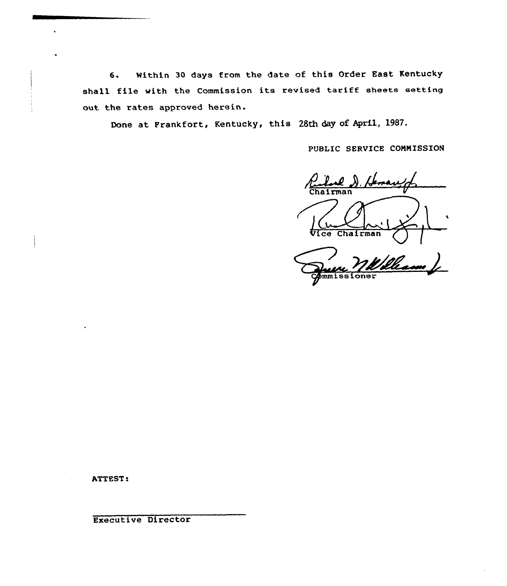6. Within 30 days from the date of this Order East Kentucky shall file with the Commission its revised tariff sheets setting out the rates approved herein.

Done at Frankfort, Kentucky, this 28th day of April, 1987.

PUBLIC SERVICE COMMISSION

Rubel D. H Vice Chairman

mmissioner

ATTEST

Executive Director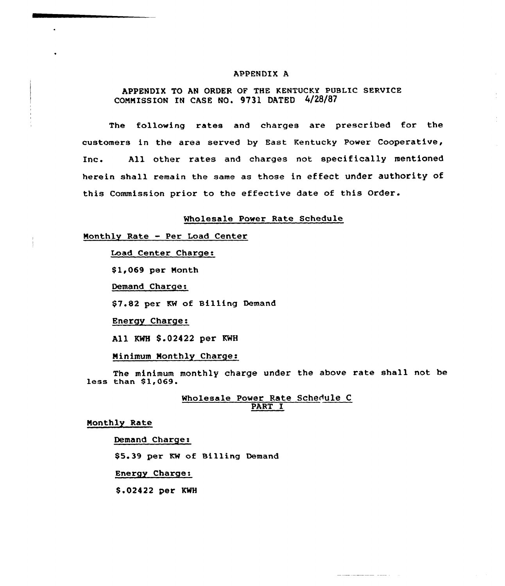#### APPENDIX A

## APPENDIX TO AN ORDER OF THE KENTUCKY PUBLIC SERVICE COMMISSION IN CASE NO. 9731 DATED 4/28/87

The following rates and charges are prescribed for the customers in the area served by East Kentucky Power Cooperative, Inc. All other rates and charges not specifically mentioned herein shall remain the same as those in effect under authority of this Commission prior to the effective date of this Order.

#### Wholesale Power Rate Schedule

### Monthly Rate - Per Load Center

Load Center Charge:

\$1,069 per Month

Demand Charge:

\$7.82 per KW of Billing Demand

Energy Charge:

All KWH \$.02422 per KWH

Minimum Monthly Charge:

The minimum monthly charge under the above rate shall not be less than 81,069.

### Wholesale Power Kate Schedule C PART I

المستحير المستحصين فليتعاد

Monthly Rate

 $\ddot{\phantom{a}}$ 

Demand Charges

\$5.39 per KW of Billing Demand

Energy Charge:

8.02422 per KWH